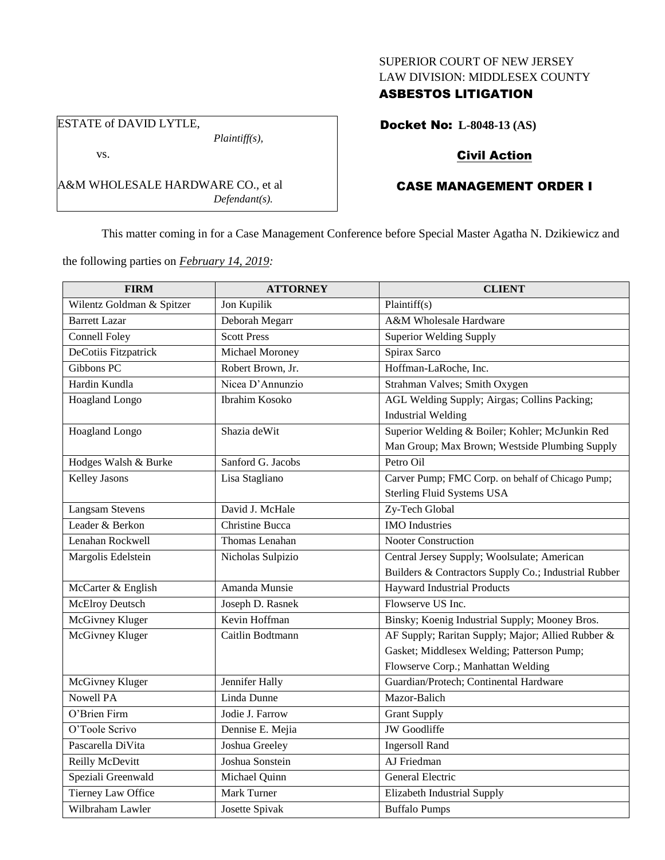## SUPERIOR COURT OF NEW JERSEY LAW DIVISION: MIDDLESEX COUNTY

## ASBESTOS LITIGATION

Docket No: **L-8048-13 (AS)**

## Civil Action

# CASE MANAGEMENT ORDER I

This matter coming in for a Case Management Conference before Special Master Agatha N. Dzikiewicz and

the following parties on *February 14, 2019:*

A&M WHOLESALE HARDWARE CO., et al

*Plaintiff(s),*

*Defendant(s).*

ESTATE of DAVID LYTLE,

vs.

| <b>FIRM</b>               | <b>ATTORNEY</b>       | <b>CLIENT</b>                                        |
|---------------------------|-----------------------|------------------------------------------------------|
| Wilentz Goldman & Spitzer | Jon Kupilik           | Plaintiff(s)                                         |
| <b>Barrett Lazar</b>      | Deborah Megarr        | A&M Wholesale Hardware                               |
| Connell Foley             | <b>Scott Press</b>    | <b>Superior Welding Supply</b>                       |
| DeCotiis Fitzpatrick      | Michael Moroney       | Spirax Sarco                                         |
| Gibbons PC                | Robert Brown, Jr.     | Hoffman-LaRoche, Inc.                                |
| Hardin Kundla             | Nicea D'Annunzio      | Strahman Valves; Smith Oxygen                        |
| Hoagland Longo            | <b>Ibrahim Kosoko</b> | AGL Welding Supply; Airgas; Collins Packing;         |
|                           |                       | <b>Industrial Welding</b>                            |
| Hoagland Longo            | Shazia de Wit         | Superior Welding & Boiler; Kohler; McJunkin Red      |
|                           |                       | Man Group; Max Brown; Westside Plumbing Supply       |
| Hodges Walsh & Burke      | Sanford G. Jacobs     | Petro Oil                                            |
| <b>Kelley Jasons</b>      | Lisa Stagliano        | Carver Pump; FMC Corp. on behalf of Chicago Pump;    |
|                           |                       | <b>Sterling Fluid Systems USA</b>                    |
| <b>Langsam Stevens</b>    | David J. McHale       | Zy-Tech Global                                       |
| Leader & Berkon           | Christine Bucca       | <b>IMO</b> Industries                                |
| Lenahan Rockwell          | Thomas Lenahan        | <b>Nooter Construction</b>                           |
| Margolis Edelstein        | Nicholas Sulpizio     | Central Jersey Supply; Woolsulate; American          |
|                           |                       | Builders & Contractors Supply Co.; Industrial Rubber |
| McCarter & English        | Amanda Munsie         | <b>Hayward Industrial Products</b>                   |
| <b>McElroy Deutsch</b>    | Joseph D. Rasnek      | Flowserve US Inc.                                    |
| McGivney Kluger           | Kevin Hoffman         | Binsky; Koenig Industrial Supply; Mooney Bros.       |
| McGivney Kluger           | Caitlin Bodtmann      | AF Supply; Raritan Supply; Major; Allied Rubber &    |
|                           |                       | Gasket; Middlesex Welding; Patterson Pump;           |
|                           |                       | Flowserve Corp.; Manhattan Welding                   |
| McGivney Kluger           | Jennifer Hally        | Guardian/Protech; Continental Hardware               |
| <b>Nowell PA</b>          | Linda Dunne           | Mazor-Balich                                         |
| O'Brien Firm              | Jodie J. Farrow       | <b>Grant Supply</b>                                  |
| O'Toole Scrivo            | Dennise E. Mejia      | JW Goodliffe                                         |
| Pascarella DiVita         | Joshua Greeley        | <b>Ingersoll Rand</b>                                |
| <b>Reilly McDevitt</b>    | Joshua Sonstein       | AJ Friedman                                          |
| Speziali Greenwald        | Michael Quinn         | General Electric                                     |
| Tierney Law Office        | <b>Mark Turner</b>    | <b>Elizabeth Industrial Supply</b>                   |
| Wilbraham Lawler          | Josette Spivak        | <b>Buffalo Pumps</b>                                 |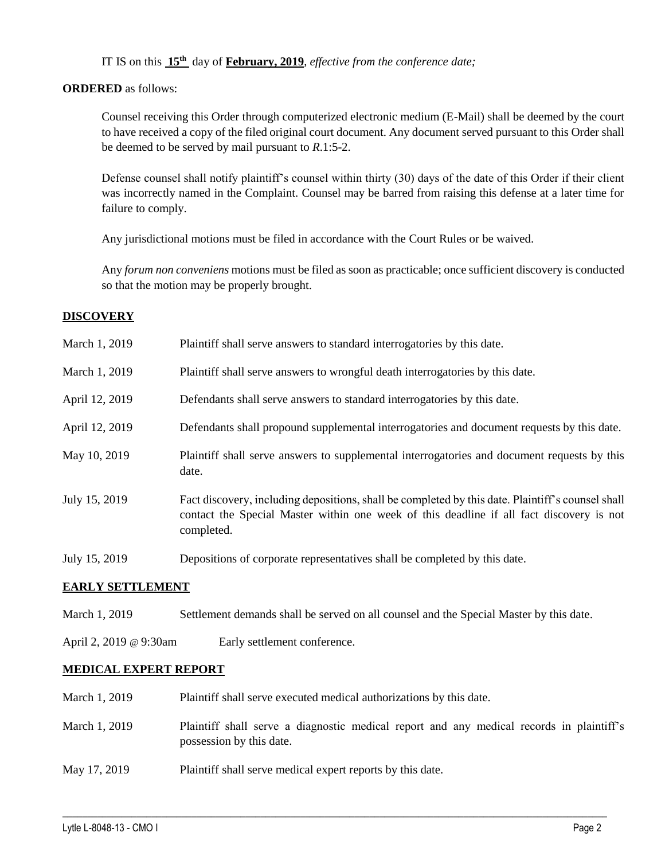IT IS on this **15th** day of **February, 2019**, *effective from the conference date;*

### **ORDERED** as follows:

Counsel receiving this Order through computerized electronic medium (E-Mail) shall be deemed by the court to have received a copy of the filed original court document. Any document served pursuant to this Order shall be deemed to be served by mail pursuant to *R*.1:5-2.

Defense counsel shall notify plaintiff's counsel within thirty (30) days of the date of this Order if their client was incorrectly named in the Complaint. Counsel may be barred from raising this defense at a later time for failure to comply.

Any jurisdictional motions must be filed in accordance with the Court Rules or be waived.

Any *forum non conveniens* motions must be filed as soon as practicable; once sufficient discovery is conducted so that the motion may be properly brought.

## **DISCOVERY**

| March 1, 2019  | Plaintiff shall serve answers to standard interrogatories by this date.                                                                                                                                     |
|----------------|-------------------------------------------------------------------------------------------------------------------------------------------------------------------------------------------------------------|
| March 1, 2019  | Plaintiff shall serve answers to wrongful death interrogatories by this date.                                                                                                                               |
| April 12, 2019 | Defendants shall serve answers to standard interrogatories by this date.                                                                                                                                    |
| April 12, 2019 | Defendants shall propound supplemental interrogatories and document requests by this date.                                                                                                                  |
| May 10, 2019   | Plaintiff shall serve answers to supplemental interrogatories and document requests by this<br>date.                                                                                                        |
| July 15, 2019  | Fact discovery, including depositions, shall be completed by this date. Plaintiff's counsel shall<br>contact the Special Master within one week of this deadline if all fact discovery is not<br>completed. |
| July 15, 2019  | Depositions of corporate representatives shall be completed by this date.                                                                                                                                   |

#### **EARLY SETTLEMENT**

- March 1, 2019 Settlement demands shall be served on all counsel and the Special Master by this date.
- April 2, 2019 @ 9:30am Early settlement conference.

#### **MEDICAL EXPERT REPORT**

| March 1, 2019 | Plaintiff shall serve executed medical authorizations by this date.                                                  |
|---------------|----------------------------------------------------------------------------------------------------------------------|
| March 1, 2019 | Plaintiff shall serve a diagnostic medical report and any medical records in plaintiff's<br>possession by this date. |
| May 17, 2019  | Plaintiff shall serve medical expert reports by this date.                                                           |

 $\_$  ,  $\_$  ,  $\_$  ,  $\_$  ,  $\_$  ,  $\_$  ,  $\_$  ,  $\_$  ,  $\_$  ,  $\_$  ,  $\_$  ,  $\_$  ,  $\_$  ,  $\_$  ,  $\_$  ,  $\_$  ,  $\_$  ,  $\_$  ,  $\_$  ,  $\_$  ,  $\_$  ,  $\_$  ,  $\_$  ,  $\_$  ,  $\_$  ,  $\_$  ,  $\_$  ,  $\_$  ,  $\_$  ,  $\_$  ,  $\_$  ,  $\_$  ,  $\_$  ,  $\_$  ,  $\_$  ,  $\_$  ,  $\_$  ,